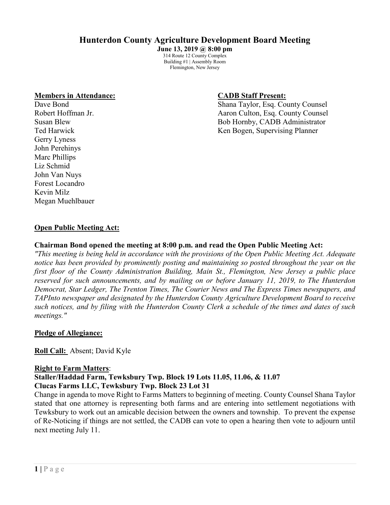# **Hunterdon County Agriculture Development Board Meeting**

**June 13, 2019 @ 8:00 pm** 314 Route 12 County Complex Building #1 | Assembly Room Flemington, New Jersey

#### **Members in Attendance: CADB Staff Present:**

Gerry Lyness John Perehinys Marc Phillips Liz Schmid John Van Nuys Forest Locandro Kevin Milz Megan Muehlbauer

Dave Bond Shana Taylor, Esq. County Counsel Robert Hoffman Jr. **All 2018** Aaron Culton, Esq. County Counsel Susan Blew Bob Hornby, CADB Administrator Ted Harwick Ken Bogen, Supervising Planner

#### **Open Public Meeting Act:**

#### **Chairman Bond opened the meeting at 8:00 p.m. and read the Open Public Meeting Act:**

*"This meeting is being held in accordance with the provisions of the Open Public Meeting Act. Adequate notice has been provided by prominently posting and maintaining so posted throughout the year on the first floor of the County Administration Building, Main St., Flemington, New Jersey a public place reserved for such announcements, and by mailing on or before January 11, 2019, to The Hunterdon Democrat, Star Ledger, The Trenton Times, The Courier News and The Express Times newspapers, and TAPInto newspaper and designated by the Hunterdon County Agriculture Development Board to receive such notices, and by filing with the Hunterdon County Clerk a schedule of the times and dates of such meetings."*

#### **Pledge of Allegiance:**

**Roll Call:** Absent; David Kyle

#### **Right to Farm Matters**:

**Staller/Haddad Farm, Tewksbury Twp. Block 19 Lots 11.05, 11.06, & 11.07 Clucas Farms LLC, Tewksbury Twp. Block 23 Lot 31**

Change in agenda to move Right to Farms Matters to beginning of meeting. County Counsel Shana Taylor stated that one attorney is representing both farms and are entering into settlement negotiations with Tewksbury to work out an amicable decision between the owners and township. To prevent the expense of Re-Noticing if things are not settled, the CADB can vote to open a hearing then vote to adjourn until next meeting July 11.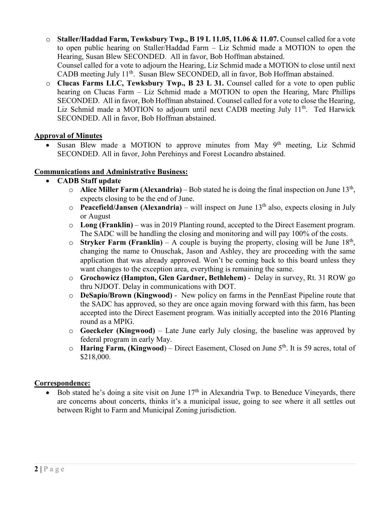- o **Staller/Haddad Farm, Tewksbury Twp., B 19 L 11.05, 11.06 & 11.07.** Counsel called for a vote to open public hearing on Staller/Haddad Farm – Liz Schmid made a MOTION to open the Hearing, Susan Blew SECONDED. All in favor, Bob Hoffman abstained. Counsel called for a vote to adjourn the Hearing, Liz Schmid made a MOTION to close until next CADB meeting July 11<sup>th</sup>. Susan Blew SECONDED, all in favor, Bob Hoffman abstained.
- o **Clucas Farms LLC, Tewksbury Twp., B 23 L 31.** Counsel called for a vote to open public hearing on Clucas Farm – Liz Schmid made a MOTION to open the Hearing, Marc Phillips SECONDED. All in favor, Bob Hoffman abstained. Counsel called for a vote to close the Hearing, Liz Schmid made a MOTION to adjourn until next CADB meeting July  $11<sup>th</sup>$ . Ted Harwick SECONDED. All in favor, Bob Hoffman abstained.

#### **Approval of Minutes**

• Susan Blew made a MOTION to approve minutes from May  $9<sup>th</sup>$  meeting, Liz Schmid SECONDED. All in favor, John Perehinys and Forest Locandro abstained.

#### **Communications and Administrative Business:**

- **CADB Staff update**
	- o **Alice Miller Farm (Alexandria)** Bob stated he is doing the final inspection on June 13th, expects closing to be the end of June.
	- **Peacefield/Jansen (Alexandria)** will inspect on June  $13<sup>th</sup>$  also, expects closing in July or August
	- o **Long (Franklin)** was in 2019 Planting round, accepted to the Direct Easement program. The SADC will be handling the closing and monitoring and will pay 100% of the costs.
	- o **Stryker Farm (Franklin)** A couple is buying the property, closing will be June  $18<sup>th</sup>$ , changing the name to Onuschak, Jason and Ashley, they are proceeding with the same application that was already approved. Won't be coming back to this board unless they want changes to the exception area, everything is remaining the same.
	- o **Grochowicz (Hampton, Glen Gardner, Bethlehem)** Delay in survey, Rt. 31 ROW go thru NJDOT. Delay in communications with DOT.
	- o **DeSapio/Brown (Kingwood)** New policy on farms in the PennEast Pipeline route that the SADC has approved, so they are once again moving forward with this farm, has been accepted into the Direct Easement program. Was initially accepted into the 2016 Planting round as a MPIG.
	- o **Goeckeler (Kingwood)** Late June early July closing, the baseline was approved by federal program in early May.
	- o **Haring Farm, (Kingwood**) Direct Easement, Closed on June 5th. It is 59 acres, total of \$218,000.

#### **Correspondence:**

• Bob stated he's doing a site visit on June  $17<sup>th</sup>$  in Alexandria Twp. to Beneduce Vineyards, there are concerns about concerts, thinks it's a municipal issue, going to see where it all settles out between Right to Farm and Municipal Zoning jurisdiction.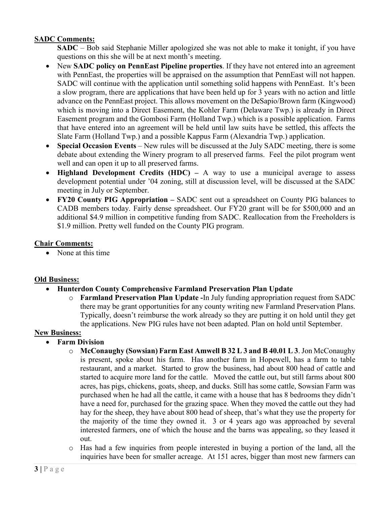#### **SADC Comments:**

**SADC** – Bob said Stephanie Miller apologized she was not able to make it tonight, if you have questions on this she will be at next month's meeting.

- New **SADC policy on PennEast Pipeline properties**. If they have not entered into an agreement with PennEast, the properties will be appraised on the assumption that PennEast will not happen. SADC will continue with the application until something solid happens with PennEast. It's been a slow program, there are applications that have been held up for 3 years with no action and little advance on the PennEast project. This allows movement on the DeSapio/Brown farm (Kingwood) which is moving into a Direct Easement, the Kohler Farm (Delaware Twp.) is already in Direct Easement program and the Gombosi Farm (Holland Twp.) which is a possible application. Farms that have entered into an agreement will be held until law suits have be settled, this affects the Slate Farm (Holland Twp.) and a possible Kappus Farm (Alexandria Twp.) application.
- **Special Occasion Events** New rules will be discussed at the July SADC meeting, there is some debate about extending the Winery program to all preserved farms. Feel the pilot program went well and can open it up to all preserved farms.
- **Highland Development Credits (HDC)** A way to use a municipal average to assess development potential under '04 zoning, still at discussion level, will be discussed at the SADC meeting in July or September.
- **FY20 County PIG Appropriation –** SADC sent out a spreadsheet on County PIG balances to CADB members today. Fairly dense spreadsheet. Our FY20 grant will be for \$500,000 and an additional \$4.9 million in competitive funding from SADC. Reallocation from the Freeholders is \$1.9 million. Pretty well funded on the County PIG program.

#### **Chair Comments:**

• None at this time

#### **Old Business:**

- **Hunterdon County Comprehensive Farmland Preservation Plan Update**
	- o **Farmland Preservation Plan Update -**In July funding appropriation request from SADC there may be grant opportunities for any county writing new Farmland Preservation Plans. Typically, doesn't reimburse the work already so they are putting it on hold until they get the applications. New PIG rules have not been adapted. Plan on hold until September.

#### **New Business:**

- **Farm Division**
	- o **McConaughy (Sowsian) Farm East Amwell B 32 L 3 and B 40.01 L 3**. Jon McConaughy is present, spoke about his farm. Has another farm in Hopewell, has a farm to table restaurant, and a market. Started to grow the business, had about 800 head of cattle and started to acquire more land for the cattle. Moved the cattle out, but still farms about 800 acres, has pigs, chickens, goats, sheep, and ducks. Still has some cattle, Sowsian Farm was purchased when he had all the cattle, it came with a house that has 8 bedrooms they didn't have a need for, purchased for the grazing space. When they moved the cattle out they had hay for the sheep, they have about 800 head of sheep, that's what they use the property for the majority of the time they owned it. 3 or 4 years ago was approached by several interested farmers, one of which the house and the barns was appealing, so they leased it out.
	- o Has had a few inquiries from people interested in buying a portion of the land, all the inquiries have been for smaller acreage. At 151 acres, bigger than most new farmers can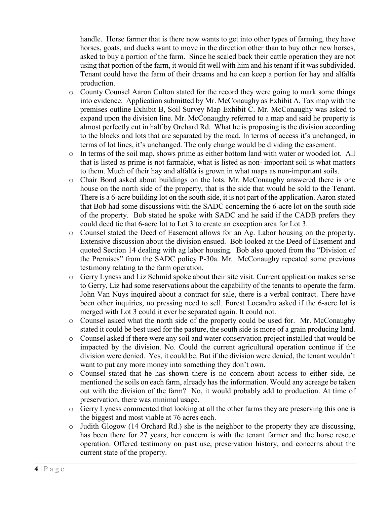handle. Horse farmer that is there now wants to get into other types of farming, they have horses, goats, and ducks want to move in the direction other than to buy other new horses, asked to buy a portion of the farm. Since he scaled back their cattle operation they are not using that portion of the farm, it would fit well with him and his tenant if it was subdivided. Tenant could have the farm of their dreams and he can keep a portion for hay and alfalfa production.

- o County Counsel Aaron Culton stated for the record they were going to mark some things into evidence. Application submitted by Mr. McConaughy as Exhibit A, Tax map with the premises outline Exhibit B, Soil Survey Map Exhibit C. Mr. McConaughy was asked to expand upon the division line. Mr. McConaughy referred to a map and said he property is almost perfectly cut in half by Orchard Rd. What he is proposing is the division according to the blocks and lots that are separated by the road. In terms of access it's unchanged, in terms of lot lines, it's unchanged. The only change would be dividing the easement.
- o In terms of the soil map, shows prime as either bottom land with water or wooded lot. All that is listed as prime is not farmable, what is listed as non- important soil is what matters to them. Much of their hay and alfalfa is grown in what maps as non-important soils.
- o Chair Bond asked about buildings on the lots. Mr. McConaughy answered there is one house on the north side of the property, that is the side that would be sold to the Tenant. There is a 6-acre building lot on the south side, it is not part of the application. Aaron stated that Bob had some discussions with the SADC concerning the 6-acre lot on the south side of the property. Bob stated he spoke with SADC and he said if the CADB prefers they could deed tie that 6-acre lot to Lot 3 to create an exception area for Lot 3.
- o Counsel stated the Deed of Easement allows for an Ag. Labor housing on the property. Extensive discussion about the division ensued. Bob looked at the Deed of Easement and quoted Section 14 dealing with ag labor housing. Bob also quoted from the "Division of the Premises" from the SADC policy P-30a. Mr. McConaughy repeated some previous testimony relating to the farm operation.
- o Gerry Lyness and Liz Schmid spoke about their site visit. Current application makes sense to Gerry, Liz had some reservations about the capability of the tenants to operate the farm. John Van Nuys inquired about a contract for sale, there is a verbal contract. There have been other inquiries, no pressing need to sell. Forest Locandro asked if the 6-acre lot is merged with Lot 3 could it ever be separated again. It could not.
- o Counsel asked what the north side of the property could be used for. Mr. McConaughy stated it could be best used for the pasture, the south side is more of a grain producing land.
- o Counsel asked if there were any soil and water conservation project installed that would be impacted by the division. No. Could the current agricultural operation continue if the division were denied. Yes, it could be. But if the division were denied, the tenant wouldn't want to put any more money into something they don't own.
- o Counsel stated that he has shown there is no concern about access to either side, he mentioned the soils on each farm, already has the information. Would any acreage be taken out with the division of the farm? No, it would probably add to production. At time of preservation, there was minimal usage.
- o Gerry Lyness commented that looking at all the other farms they are preserving this one is the biggest and most viable at 76 acres each.
- o Judith Glogow (14 Orchard Rd.) she is the neighbor to the property they are discussing, has been there for 27 years, her concern is with the tenant farmer and the horse rescue operation. Offered testimony on past use, preservation history, and concerns about the current state of the property.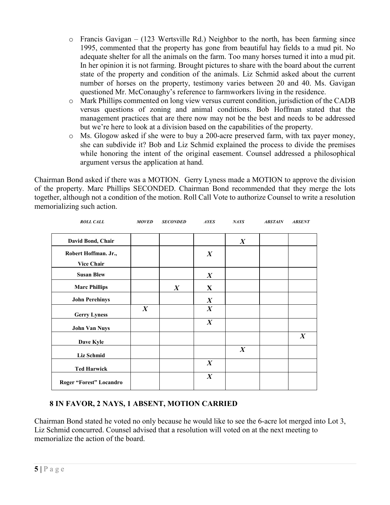- $\circ$  Francis Gavigan (123 Wertsville Rd.) Neighbor to the north, has been farming since 1995, commented that the property has gone from beautiful hay fields to a mud pit. No adequate shelter for all the animals on the farm. Too many horses turned it into a mud pit. In her opinion it is not farming. Brought pictures to share with the board about the current state of the property and condition of the animals. Liz Schmid asked about the current number of horses on the property, testimony varies between 20 and 40. Ms. Gavigan questioned Mr. McConaughy's reference to farmworkers living in the residence.
- o Mark Phillips commented on long view versus current condition, jurisdiction of the CADB versus questions of zoning and animal conditions. Bob Hoffman stated that the management practices that are there now may not be the best and needs to be addressed but we're here to look at a division based on the capabilities of the property.
- o Ms. Glogow asked if she were to buy a 200-acre preserved farm, with tax payer money, she can subdivide it? Bob and Liz Schmid explained the process to divide the premises while honoring the intent of the original easement. Counsel addressed a philosophical argument versus the application at hand.

Chairman Bond asked if there was a MOTION. Gerry Lyness made a MOTION to approve the division of the property. Marc Phillips SECONDED. Chairman Bond recommended that they merge the lots together, although not a condition of the motion. Roll Call Vote to authorize Counsel to write a resolution memorializing such action.

| <b>ROLL CALL</b>        | <b>MOVED</b>     | <b>SECONDED</b>  | <b>AYES</b>      | <b>NAYS</b>      | <b>ABSTAIN</b> | <b>ABSENT</b>    |
|-------------------------|------------------|------------------|------------------|------------------|----------------|------------------|
| David Bond, Chair       |                  |                  |                  | $\boldsymbol{X}$ |                |                  |
| Robert Hoffman. Jr.,    |                  |                  | $\boldsymbol{X}$ |                  |                |                  |
| <b>Vice Chair</b>       |                  |                  |                  |                  |                |                  |
| <b>Susan Blew</b>       |                  |                  | $\boldsymbol{X}$ |                  |                |                  |
| <b>Marc Phillips</b>    |                  | $\boldsymbol{X}$ | X                |                  |                |                  |
| <b>John Perehinys</b>   |                  |                  | $\boldsymbol{X}$ |                  |                |                  |
| <b>Gerry Lyness</b>     | $\boldsymbol{X}$ |                  | $\boldsymbol{X}$ |                  |                |                  |
| <b>John Van Nuys</b>    |                  |                  | $\boldsymbol{X}$ |                  |                |                  |
| Dave Kyle               |                  |                  |                  |                  |                | $\boldsymbol{X}$ |
| Liz Schmid              |                  |                  |                  | $\boldsymbol{X}$ |                |                  |
| <b>Ted Harwick</b>      |                  |                  | $\boldsymbol{X}$ |                  |                |                  |
| Roger "Forest" Locandro |                  |                  | $\boldsymbol{X}$ |                  |                |                  |

## **8 IN FAVOR, 2 NAYS, 1 ABSENT, MOTION CARRIED**

Chairman Bond stated he voted no only because he would like to see the 6-acre lot merged into Lot 3, Liz Schmid concurred. Counsel advised that a resolution will voted on at the next meeting to memorialize the action of the board.